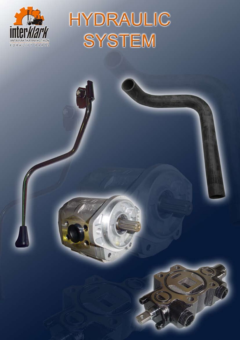

# **HYDRAULIC SYSTEM**

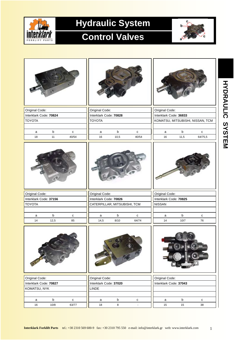

# **Hydraulic System**

### **Control Valves**



| Original Code:         |             |              | Original Code:               |             |                          | Original Code:                   |             |           |  |
|------------------------|-------------|--------------|------------------------------|-------------|--------------------------|----------------------------------|-------------|-----------|--|
| Interklark Code: 70824 |             |              | Interklark Code: 70828       |             |                          | Interklark Code: 36833           |             |           |  |
| <b>TOYOTA</b>          |             |              | <b>TOYOTA</b>                |             |                          | KOMATSU, MITSUBISHI, NISSAN, TCM |             |           |  |
|                        |             |              |                              |             |                          |                                  |             |           |  |
| $\mathsf a$            | $\sf b$     | $\mathbf c$  | $\mathsf a$                  | $\mathsf b$ | ${\bf c}$                | $\mathsf{a}$                     | $\sf b$     | ${\bf c}$ |  |
| 18                     | 11          | 40/54        | 16                           | 10,5        | 40/54                    | 16                               | 11,5        | 64/75,5   |  |
|                        |             |              |                              |             |                          |                                  |             |           |  |
| Original Code:         |             |              | Original Code:               |             |                          | Original Code:                   |             |           |  |
| Interklark Code: 37156 |             |              | Interklark Code: 70826       |             |                          | Interklark Code: 70825           |             |           |  |
| <b>TOYOTA</b>          |             |              | CATERPILLAR, MITSUBISHI, TCM |             |                          | <b>NISSAN</b>                    |             |           |  |
|                        |             |              |                              |             |                          |                                  |             |           |  |
| a                      | $\sf b$     | $\mathbf{C}$ | $\mathsf a$                  | $\mathsf b$ | $\mathtt{C}$             | a                                | $\sf b$     | ${\bf c}$ |  |
| 14                     | 12,5        | 85           | 14,5                         | 8/10        | 64/74                    | 14                               | 10/7        | 76        |  |
|                        |             |              |                              |             |                          |                                  |             |           |  |
| Original Code:         |             |              | Original Code:               |             |                          | Original Code:                   |             |           |  |
| Interklark Code: 70827 |             |              | Interklark Code: 37020       |             |                          | Interklark Code: 37043           |             |           |  |
| KOMATSU, NYK           |             |              | <b>LINDE</b>                 |             |                          |                                  |             |           |  |
|                        |             |              |                              |             |                          |                                  |             |           |  |
| a                      | $\mathsf b$ | $\mathbf{C}$ | a                            | $\mathsf b$ | ${\bf c}$                | a                                | $\mathsf b$ | ${\bf c}$ |  |
| 16                     | 10/8        | 63/77        | $18\,$                       | 8           | $\overline{\phantom{a}}$ | 15                               | 15          | 38        |  |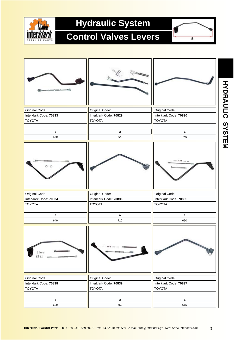

## **Hydraulic System**

#### **Control Valves Levers**





3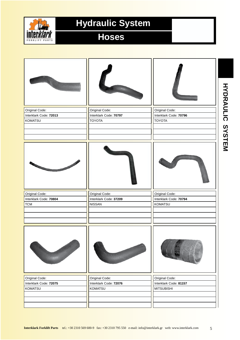

# **Hydraulic System**

#### **Hoses**

| Original Code:         | Original Code:         | Original Code:         |  |
|------------------------|------------------------|------------------------|--|
| Interklark Code: 72013 | Interklark Code: 70797 | Interklark Code: 70796 |  |
| KOMATSU                | <b>TOYOTA</b>          | <b>TOYOTA</b>          |  |
|                        |                        |                        |  |
|                        |                        |                        |  |
|                        |                        |                        |  |
|                        |                        |                        |  |
| Original Code:         | Original Code:         | Original Code:         |  |
| Interklark Code: 70804 | Interklark Code: 37209 | Interklark Code: 70794 |  |
| <b>TCM</b>             | <b>NISSAN</b>          | <b>KOMATSU</b>         |  |
|                        |                        |                        |  |
|                        |                        |                        |  |
|                        |                        |                        |  |
| <b>CONTRACT</b>        | Artes Care             |                        |  |
| Original Code:         | Original Code:         | Original Code:         |  |
| Interklark Code: 72075 | Interklark Code: 72076 | Interklark Code: 81157 |  |
| <b>KOMATSU</b>         | <b>KOMATSU</b>         | <b>MITSUBISHI</b>      |  |
|                        |                        |                        |  |
|                        |                        |                        |  |
|                        |                        |                        |  |